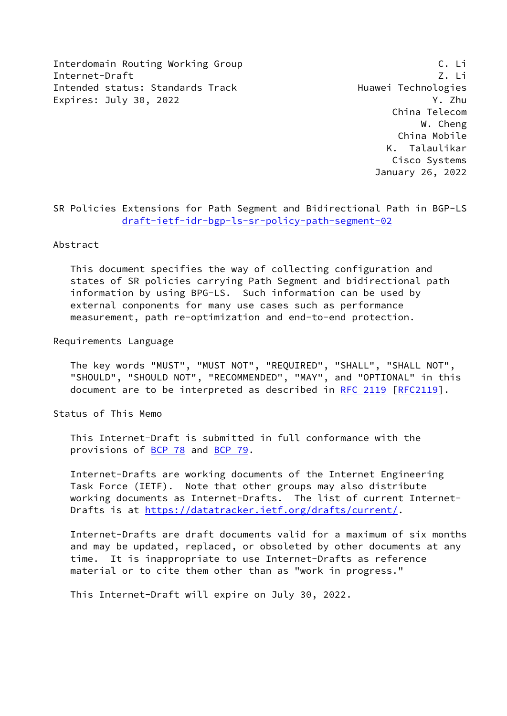Interdomain Routing Working Group C. Li Internet-Draft Z. Li Intended status: Standards Track Track Huawei Technologies Expires: July 30, 2022 **Y. Zhu** 

 China Telecom W. Cheng China Mobile K. Talaulikar Cisco Systems January 26, 2022

SR Policies Extensions for Path Segment and Bidirectional Path in BGP-LS [draft-ietf-idr-bgp-ls-sr-policy-path-segment-02](https://datatracker.ietf.org/doc/pdf/draft-ietf-idr-bgp-ls-sr-policy-path-segment-02)

Abstract

 This document specifies the way of collecting configuration and states of SR policies carrying Path Segment and bidirectional path information by using BPG-LS. Such information can be used by external conponents for many use cases such as performance measurement, path re-optimization and end-to-end protection.

Requirements Language

 The key words "MUST", "MUST NOT", "REQUIRED", "SHALL", "SHALL NOT", "SHOULD", "SHOULD NOT", "RECOMMENDED", "MAY", and "OPTIONAL" in this document are to be interpreted as described in [RFC 2119 \[RFC2119](https://datatracker.ietf.org/doc/pdf/rfc2119)].

Status of This Memo

 This Internet-Draft is submitted in full conformance with the provisions of [BCP 78](https://datatracker.ietf.org/doc/pdf/bcp78) and [BCP 79](https://datatracker.ietf.org/doc/pdf/bcp79).

 Internet-Drafts are working documents of the Internet Engineering Task Force (IETF). Note that other groups may also distribute working documents as Internet-Drafts. The list of current Internet- Drafts is at<https://datatracker.ietf.org/drafts/current/>.

 Internet-Drafts are draft documents valid for a maximum of six months and may be updated, replaced, or obsoleted by other documents at any time. It is inappropriate to use Internet-Drafts as reference material or to cite them other than as "work in progress."

This Internet-Draft will expire on July 30, 2022.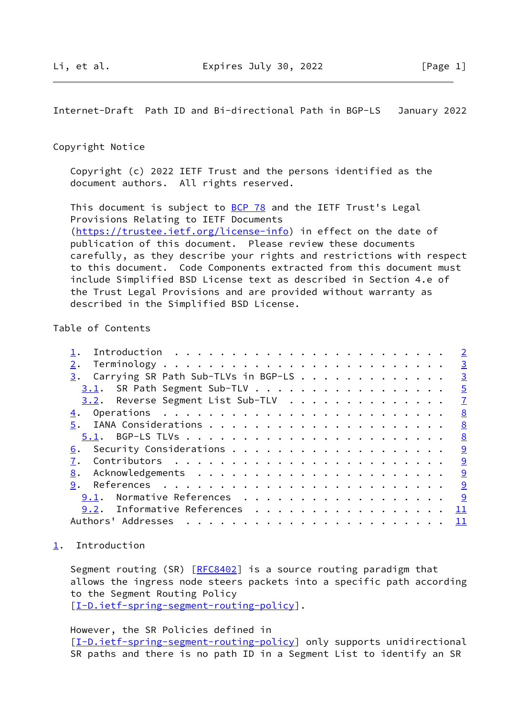<span id="page-1-1"></span>Internet-Draft Path ID and Bi-directional Path in BGP-LS January 2022

### Copyright Notice

 Copyright (c) 2022 IETF Trust and the persons identified as the document authors. All rights reserved.

This document is subject to **[BCP 78](https://datatracker.ietf.org/doc/pdf/bcp78)** and the IETF Trust's Legal Provisions Relating to IETF Documents [\(https://trustee.ietf.org/license-info](https://trustee.ietf.org/license-info)) in effect on the date of publication of this document. Please review these documents carefully, as they describe your rights and restrictions with respect to this document. Code Components extracted from this document must include Simplified BSD License text as described in Section 4.e of the Trust Legal Provisions and are provided without warranty as described in the Simplified BSD License.

## Table of Contents

|                                                     | $\overline{\phantom{0}}$ |
|-----------------------------------------------------|--------------------------|
|                                                     | $\overline{\mathbf{3}}$  |
| $\frac{3}{2}$ . Carrying SR Path Sub-TLVs in BGP-LS | $\overline{3}$           |
| 3.1. SR Path Segment Sub-TLV                        | $\frac{5}{2}$            |
| 3.2. Reverse Segment List Sub-TLV                   | $\mathbf{Z}$             |
|                                                     | $\frac{8}{2}$            |
|                                                     | 8                        |
|                                                     | $\frac{8}{2}$            |
|                                                     |                          |
|                                                     |                          |
| 8.                                                  |                          |
| 9.                                                  |                          |
| $9.1$ . Normative References                        | <u>୍ର</u>                |
| 9.2. Informative References 11                      |                          |
|                                                     |                          |
|                                                     |                          |

<span id="page-1-0"></span>[1](#page-1-0). Introduction

Segment routing (SR) [\[RFC8402](https://datatracker.ietf.org/doc/pdf/rfc8402)] is a source routing paradigm that allows the ingress node steers packets into a specific path according to the Segment Routing Policy [\[I-D.ietf-spring-segment-routing-policy](#page-10-0)].

However, the SR Policies defined in

[\[I-D.ietf-spring-segment-routing-policy](#page-10-0)] only supports unidirectional SR paths and there is no path ID in a Segment List to identify an SR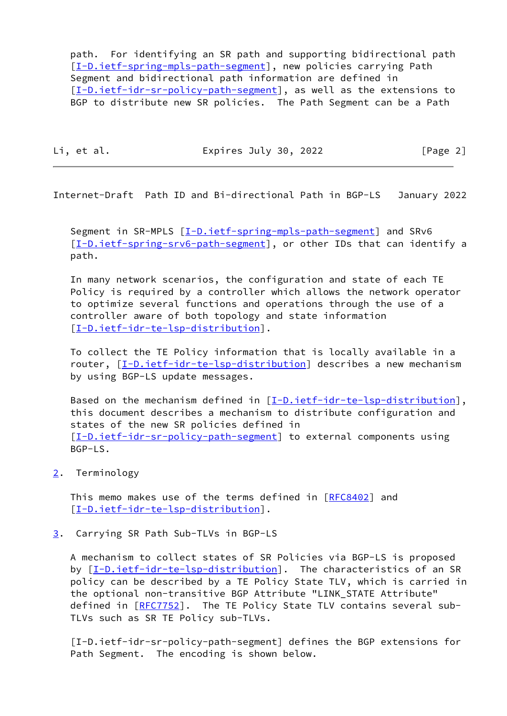path. For identifying an SR path and supporting bidirectional path [\[I-D.ietf-spring-mpls-path-segment](#page-10-1)], new policies carrying Path Segment and bidirectional path information are defined in [\[I-D.ietf-idr-sr-policy-path-segment](#page-2-3)], as well as the extensions to BGP to distribute new SR policies. The Path Segment can be a Path

Li, et al. **Expires July 30, 2022** [Page 2]

<span id="page-2-1"></span>Internet-Draft Path ID and Bi-directional Path in BGP-LS January 2022

 Segment in SR-MPLS [[I-D.ietf-spring-mpls-path-segment\]](#page-10-1) and SRv6 [\[I-D.ietf-spring-srv6-path-segment](#page-10-2)], or other IDs that can identify a path.

 In many network scenarios, the configuration and state of each TE Policy is required by a controller which allows the network operator to optimize several functions and operations through the use of a controller aware of both topology and state information [\[I-D.ietf-idr-te-lsp-distribution](#page-10-3)].

 To collect the TE Policy information that is locally available in a router, [\[I-D.ietf-idr-te-lsp-distribution](#page-10-3)] describes a new mechanism by using BGP-LS update messages.

Based on the mechanism defined in [[I-D.ietf-idr-te-lsp-distribution\]](#page-10-3), this document describes a mechanism to distribute configuration and states of the new SR policies defined in [\[I-D.ietf-idr-sr-policy-path-segment](#page-2-3)] to external components using BGP-LS.

<span id="page-2-0"></span>[2](#page-2-0). Terminology

This memo makes use of the terms defined in [\[RFC8402](https://datatracker.ietf.org/doc/pdf/rfc8402)] and [\[I-D.ietf-idr-te-lsp-distribution](#page-10-3)].

<span id="page-2-2"></span>[3](#page-2-2). Carrying SR Path Sub-TLVs in BGP-LS

 A mechanism to collect states of SR Policies via BGP-LS is proposed by [[I-D.ietf-idr-te-lsp-distribution\]](#page-10-3). The characteristics of an SR policy can be described by a TE Policy State TLV, which is carried in the optional non-transitive BGP Attribute "LINK\_STATE Attribute" defined in [[RFC7752\]](https://datatracker.ietf.org/doc/pdf/rfc7752). The TE Policy State TLV contains several sub- TLVs such as SR TE Policy sub-TLVs.

<span id="page-2-3"></span> [I-D.ietf-idr-sr-policy-path-segment] defines the BGP extensions for Path Segment. The encoding is shown below.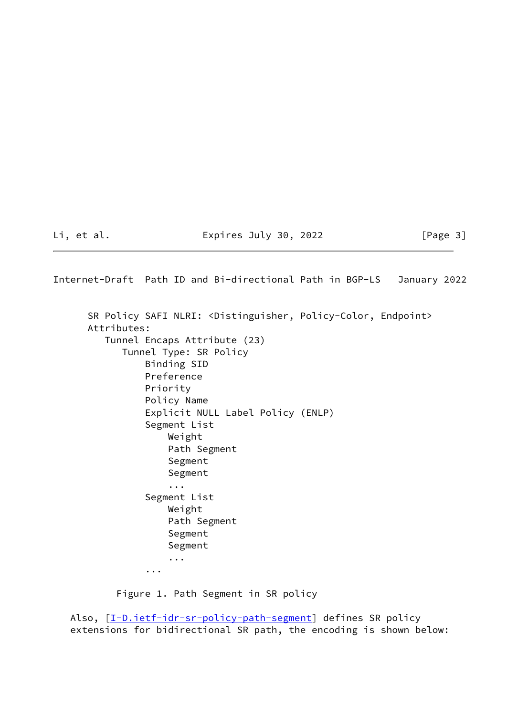# Li, et al. Expires July 30, 2022 [Page 3]

Internet-Draft Path ID and Bi-directional Path in BGP-LS January 2022 SR Policy SAFI NLRI: <Distinguisher, Policy-Color, Endpoint> Attributes: Tunnel Encaps Attribute (23) Tunnel Type: SR Policy Binding SID Preference Priority Policy Name Explicit NULL Label Policy (ENLP) Segment List Weight Path Segment Segment Segment ... Segment List Weight Path Segment Segment Segment ... ...

Figure 1. Path Segment in SR policy

Also, [[I-D.ietf-idr-sr-policy-path-segment](#page-2-3)] defines SR policy extensions for bidirectional SR path, the encoding is shown below: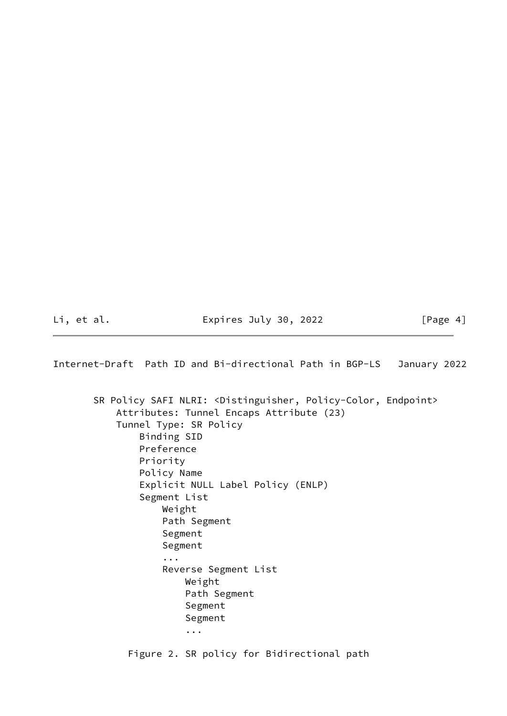Li, et al. Expires July 30, 2022 [Page 4]

<span id="page-4-0"></span>Internet-Draft Path ID and Bi-directional Path in BGP-LS January 2022

 SR Policy SAFI NLRI: <Distinguisher, Policy-Color, Endpoint> Attributes: Tunnel Encaps Attribute (23) Tunnel Type: SR Policy Binding SID Preference Priority Policy Name Explicit NULL Label Policy (ENLP) Segment List Weight Path Segment Segment Segment ... Reverse Segment List Weight Path Segment Segment Segment ... Figure 2. SR policy for Bidirectional path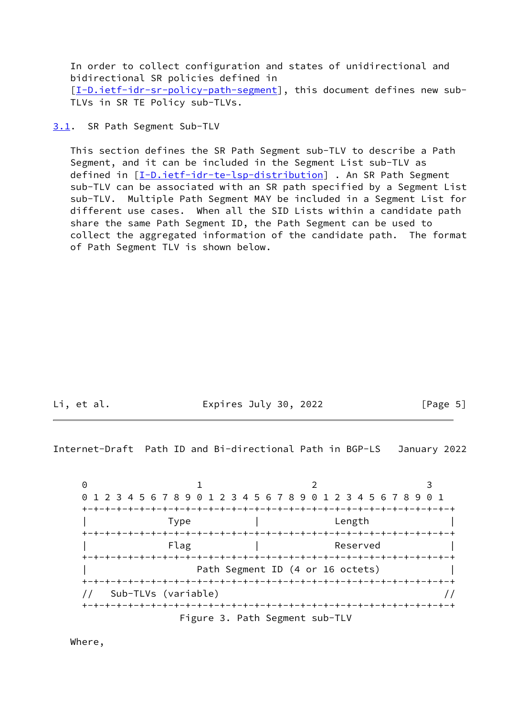In order to collect configuration and states of unidirectional and bidirectional SR policies defined in [\[I-D.ietf-idr-sr-policy-path-segment](#page-2-3)], this document defines new sub-TLVs in SR TE Policy sub-TLVs.

### <span id="page-5-0"></span>[3.1](#page-5-0). SR Path Segment Sub-TLV

 This section defines the SR Path Segment sub-TLV to describe a Path Segment, and it can be included in the Segment List sub-TLV as defined in [[I-D.ietf-idr-te-lsp-distribution\]](#page-10-3) . An SR Path Segment sub-TLV can be associated with an SR path specified by a Segment List sub-TLV. Multiple Path Segment MAY be included in a Segment List for different use cases. When all the SID Lists within a candidate path share the same Path Segment ID, the Path Segment can be used to collect the aggregated information of the candidate path. The format of Path Segment TLV is shown below.

Li, et al. The Expires July 30, 2022 [Page 5]

Internet-Draft Path ID and Bi-directional Path in BGP-LS January 2022

0 1 2 3 0 1 2 3 4 5 6 7 8 9 0 1 2 3 4 5 6 7 8 9 0 1 2 3 4 5 6 7 8 9 0 1 +-+-+-+-+-+-+-+-+-+-+-+-+-+-+-+-+-+-+-+-+-+-+-+-+-+-+-+-+-+-+-+-+ | Type | Length | +-+-+-+-+-+-+-+-+-+-+-+-+-+-+-+-+-+-+-+-+-+-+-+-+-+-+-+-+-+-+-+-+ | Flag | Reserved +-+-+-+-+-+-+-+-+-+-+-+-+-+-+-+-+-+-+-+-+-+-+-+-+-+-+-+-+-+-+-+-+ Path Segment ID (4 or 16 octets) +-+-+-+-+-+-+-+-+-+-+-+-+-+-+-+-+-+-+-+-+-+-+-+-+-+-+-+-+-+-+-+-+ // Sub-TLVs (variable) // +-+-+-+-+-+-+-+-+-+-+-+-+-+-+-+-+-+-+-+-+-+-+-+-+-+-+-+-+-+-+-+-+ Figure 3. Path Segment sub-TLV

Where,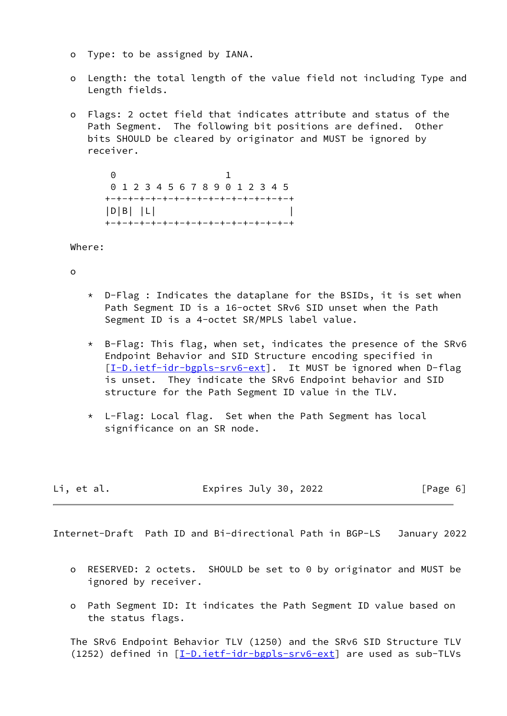- o Type: to be assigned by IANA.
- o Length: the total length of the value field not including Type and Length fields.
- o Flags: 2 octet field that indicates attribute and status of the Path Segment. The following bit positions are defined. Other bits SHOULD be cleared by originator and MUST be ignored by receiver.

 0 1 0 1 2 3 4 5 6 7 8 9 0 1 2 3 4 5 +-+-+-+-+-+-+-+-+-+-+-+-+-+-+-+-+  $|D|B|$   $|L|$   $|$ +-+-+-+-+-+-+-+-+-+-+-+-+-+-+-+-+

Where:

o

- \* D-Flag : Indicates the dataplane for the BSIDs, it is set when Path Segment ID is a 16-octet SRv6 SID unset when the Path Segment ID is a 4-octet SR/MPLS label value.
- \* B-Flag: This flag, when set, indicates the presence of the SRv6 Endpoint Behavior and SID Structure encoding specified in [[I-D.ietf-idr-bgpls-srv6-ext](#page-9-6)]. It MUST be ignored when D-flag is unset. They indicate the SRv6 Endpoint behavior and SID structure for the Path Segment ID value in the TLV.
- \* L-Flag: Local flag. Set when the Path Segment has local significance on an SR node.

| Li, et al. | Expires July 30, 2022 | [Page 6] |
|------------|-----------------------|----------|
|------------|-----------------------|----------|

<span id="page-6-0"></span>Internet-Draft Path ID and Bi-directional Path in BGP-LS January 2022

- o RESERVED: 2 octets. SHOULD be set to 0 by originator and MUST be ignored by receiver.
- o Path Segment ID: It indicates the Path Segment ID value based on the status flags.

 The SRv6 Endpoint Behavior TLV (1250) and the SRv6 SID Structure TLV (1252) defined in [[I-D.ietf-idr-bgpls-srv6-ext](#page-9-6)] are used as sub-TLVs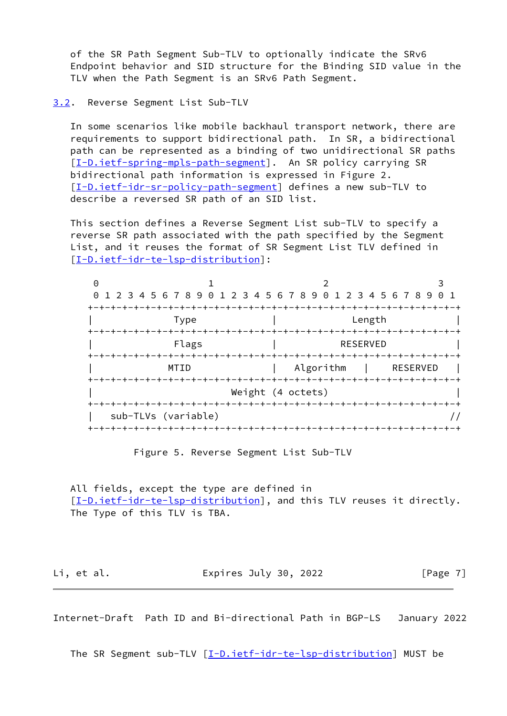of the SR Path Segment Sub-TLV to optionally indicate the SRv6 Endpoint behavior and SID structure for the Binding SID value in the TLV when the Path Segment is an SRv6 Path Segment.

#### <span id="page-7-0"></span>[3.2](#page-7-0). Reverse Segment List Sub-TLV

 In some scenarios like mobile backhaul transport network, there are requirements to support bidirectional path. In SR, a bidirectional path can be represented as a binding of two unidirectional SR paths [\[I-D.ietf-spring-mpls-path-segment](#page-10-1)]. An SR policy carrying SR bidirectional path information is expressed in Figure 2. [\[I-D.ietf-idr-sr-policy-path-segment](#page-2-3)] defines a new sub-TLV to describe a reversed SR path of an SID list.

 This section defines a Reverse Segment List sub-TLV to specify a reverse SR path associated with the path specified by the Segment List, and it reuses the format of SR Segment List TLV defined in [\[I-D.ietf-idr-te-lsp-distribution](#page-10-3)]:

| Θ |                             |                                                             |            |  |  |  |
|---|-----------------------------|-------------------------------------------------------------|------------|--|--|--|
|   |                             | 0 1 2 3 4 5 6 7 8 9 0 1 2 3 4 5 6 7 8 9 0 1 2 3 4 5 6 7 8 9 | $\Theta$ 1 |  |  |  |
|   |                             |                                                             |            |  |  |  |
|   | Type                        |                                                             | Length     |  |  |  |
|   |                             |                                                             |            |  |  |  |
|   | Flags<br><b>RESERVED</b>    |                                                             |            |  |  |  |
|   |                             |                                                             |            |  |  |  |
|   | MTID                        | Algorithm                                                   | RESERVED   |  |  |  |
|   | -+-+-+-+-+-+-+              | -+-+-+-+-+-+-+-+-+-+-+-+-+-+-+-+-+-+-+-                     |            |  |  |  |
|   | Weight (4 octets)           |                                                             |            |  |  |  |
|   | -+-+-+-+-+-+-+-+-+-+-+-+-+- |                                                             |            |  |  |  |
|   | sub-TLVs (variable)         |                                                             |            |  |  |  |
|   |                             |                                                             |            |  |  |  |

Figure 5. Reverse Segment List Sub-TLV

 All fields, except the type are defined in [\[I-D.ietf-idr-te-lsp-distribution](#page-10-3)], and this TLV reuses it directly. The Type of this TLV is TBA.

Li, et al. Expires July 30, 2022 [Page 7]

<span id="page-7-1"></span>Internet-Draft Path ID and Bi-directional Path in BGP-LS January 2022

The SR Segment sub-TLV [\[I-D.ietf-idr-te-lsp-distribution](#page-10-3)] MUST be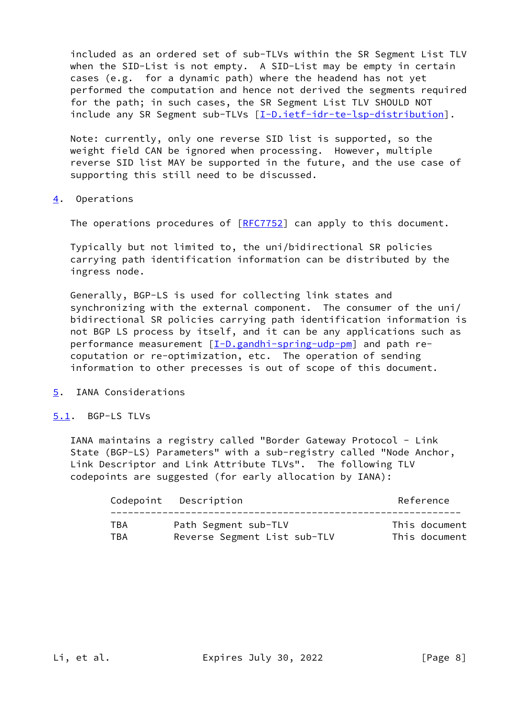included as an ordered set of sub-TLVs within the SR Segment List TLV when the SID-List is not empty. A SID-List may be empty in certain cases (e.g. for a dynamic path) where the headend has not yet performed the computation and hence not derived the segments required for the path; in such cases, the SR Segment List TLV SHOULD NOT include any SR Segment sub-TLVs [\[I-D.ietf-idr-te-lsp-distribution](#page-10-3)].

 Note: currently, only one reverse SID list is supported, so the weight field CAN be ignored when processing. However, multiple reverse SID list MAY be supported in the future, and the use case of supporting this still need to be discussed.

<span id="page-8-0"></span>[4](#page-8-0). Operations

The operations procedures of [\[RFC7752](https://datatracker.ietf.org/doc/pdf/rfc7752)] can apply to this document.

 Typically but not limited to, the uni/bidirectional SR policies carrying path identification information can be distributed by the ingress node.

 Generally, BGP-LS is used for collecting link states and synchronizing with the external component. The consumer of the uni/ bidirectional SR policies carrying path identification information is not BGP LS process by itself, and it can be any applications such as performance measurement [\[I-D.gandhi-spring-udp-pm](#page-11-2)] and path re coputation or re-optimization, etc. The operation of sending information to other precesses is out of scope of this document.

- <span id="page-8-1"></span>[5](#page-8-1). IANA Considerations
- <span id="page-8-2"></span>[5.1](#page-8-2). BGP-LS TLVs

 IANA maintains a registry called "Border Gateway Protocol - Link State (BGP-LS) Parameters" with a sub-registry called "Node Anchor, Link Descriptor and Link Attribute TLVs". The following TLV codepoints are suggested (for early allocation by IANA):

| Reference<br>Codepoint Description                   |  |
|------------------------------------------------------|--|
| Path Segment sub-TLV<br>This document<br>TBA         |  |
| This document<br>Reverse Segment List sub-TLV<br>TBA |  |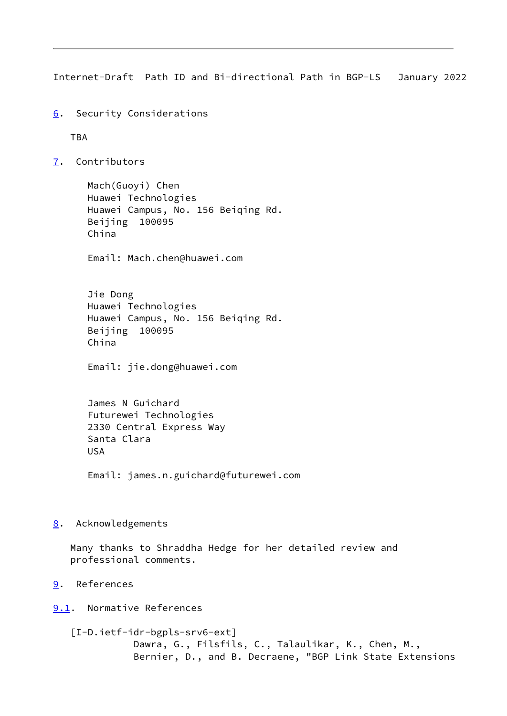<span id="page-9-1"></span>Internet-Draft Path ID and Bi-directional Path in BGP-LS January 2022

<span id="page-9-0"></span>[6](#page-9-0). Security Considerations

TBA

<span id="page-9-2"></span>[7](#page-9-2). Contributors

 Mach(Guoyi) Chen Huawei Technologies Huawei Campus, No. 156 Beiqing Rd. Beijing 100095 China

Email: Mach.chen@huawei.com

 Jie Dong Huawei Technologies Huawei Campus, No. 156 Beiqing Rd. Beijing 100095 China

Email: jie.dong@huawei.com

 James N Guichard Futurewei Technologies 2330 Central Express Way Santa Clara USA

Email: james.n.guichard@futurewei.com

<span id="page-9-3"></span>[8](#page-9-3). Acknowledgements

 Many thanks to Shraddha Hedge for her detailed review and professional comments.

<span id="page-9-4"></span>[9](#page-9-4). References

<span id="page-9-5"></span>[9.1](#page-9-5). Normative References

<span id="page-9-6"></span> [I-D.ietf-idr-bgpls-srv6-ext] Dawra, G., Filsfils, C., Talaulikar, K., Chen, M., Bernier, D., and B. Decraene, "BGP Link State Extensions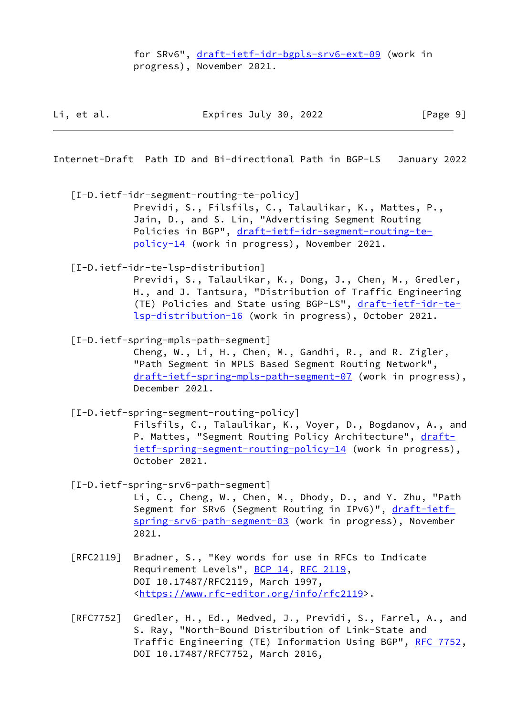for SRv6", [draft-ietf-idr-bgpls-srv6-ext-09](https://datatracker.ietf.org/doc/pdf/draft-ietf-idr-bgpls-srv6-ext-09) (work in progress), November 2021.

| Li, et al. | Expires July 30, 2022 | [Page 9] |
|------------|-----------------------|----------|
|------------|-----------------------|----------|

Internet-Draft Path ID and Bi-directional Path in BGP-LS January 2022

[I-D.ietf-idr-segment-routing-te-policy]

 Previdi, S., Filsfils, C., Talaulikar, K., Mattes, P., Jain, D., and S. Lin, "Advertising Segment Routing Policies in BGP", [draft-ietf-idr-segment-routing-te](https://datatracker.ietf.org/doc/pdf/draft-ietf-idr-segment-routing-te-policy-14) [policy-14](https://datatracker.ietf.org/doc/pdf/draft-ietf-idr-segment-routing-te-policy-14) (work in progress), November 2021.

<span id="page-10-3"></span>[I-D.ietf-idr-te-lsp-distribution]

 Previdi, S., Talaulikar, K., Dong, J., Chen, M., Gredler, H., and J. Tantsura, "Distribution of Traffic Engineering (TE) Policies and State using BGP-LS", [draft-ietf-idr-te](https://datatracker.ietf.org/doc/pdf/draft-ietf-idr-te-lsp-distribution-16) [lsp-distribution-16](https://datatracker.ietf.org/doc/pdf/draft-ietf-idr-te-lsp-distribution-16) (work in progress), October 2021.

<span id="page-10-1"></span>[I-D.ietf-spring-mpls-path-segment]

 Cheng, W., Li, H., Chen, M., Gandhi, R., and R. Zigler, "Path Segment in MPLS Based Segment Routing Network", [draft-ietf-spring-mpls-path-segment-07](https://datatracker.ietf.org/doc/pdf/draft-ietf-spring-mpls-path-segment-07) (work in progress), December 2021.

<span id="page-10-0"></span> [I-D.ietf-spring-segment-routing-policy] Filsfils, C., Talaulikar, K., Voyer, D., Bogdanov, A., and P. Mattes, "Segment Routing Policy Architecture", [draft](https://datatracker.ietf.org/doc/pdf/draft-ietf-spring-segment-routing-policy-14) [ietf-spring-segment-routing-policy-14](https://datatracker.ietf.org/doc/pdf/draft-ietf-spring-segment-routing-policy-14) (work in progress),

<span id="page-10-2"></span>[I-D.ietf-spring-srv6-path-segment]

October 2021.

 Li, C., Cheng, W., Chen, M., Dhody, D., and Y. Zhu, "Path Segment for SRv6 (Segment Routing in IPv6)", [draft-ietf](https://datatracker.ietf.org/doc/pdf/draft-ietf-spring-srv6-path-segment-03) [spring-srv6-path-segment-03](https://datatracker.ietf.org/doc/pdf/draft-ietf-spring-srv6-path-segment-03) (work in progress), November 2021.

- [RFC2119] Bradner, S., "Key words for use in RFCs to Indicate Requirement Levels", [BCP 14](https://datatracker.ietf.org/doc/pdf/bcp14), [RFC 2119](https://datatracker.ietf.org/doc/pdf/rfc2119), DOI 10.17487/RFC2119, March 1997, <[https://www.rfc-editor.org/info/rfc2119>](https://www.rfc-editor.org/info/rfc2119).
- [RFC7752] Gredler, H., Ed., Medved, J., Previdi, S., Farrel, A., and S. Ray, "North-Bound Distribution of Link-State and Traffic Engineering (TE) Information Using BGP", [RFC 7752,](https://datatracker.ietf.org/doc/pdf/rfc7752) DOI 10.17487/RFC7752, March 2016,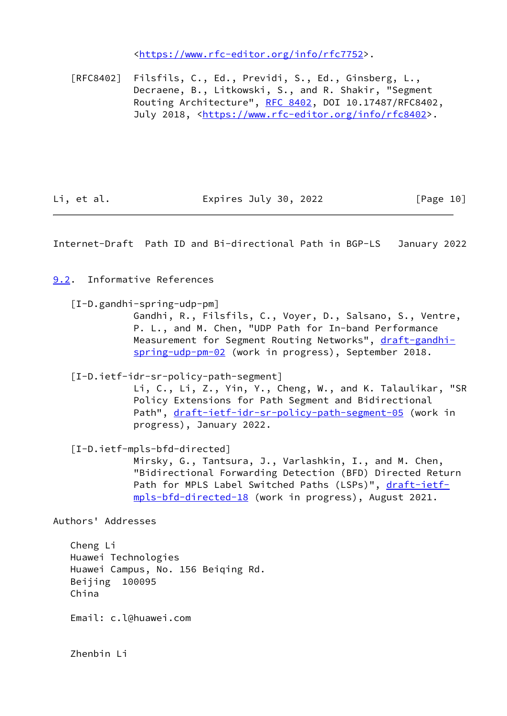<[https://www.rfc-editor.org/info/rfc7752>](https://www.rfc-editor.org/info/rfc7752).

 [RFC8402] Filsfils, C., Ed., Previdi, S., Ed., Ginsberg, L., Decraene, B., Litkowski, S., and R. Shakir, "Segment Routing Architecture", [RFC 8402](https://datatracker.ietf.org/doc/pdf/rfc8402), DOI 10.17487/RFC8402, July 2018, <<https://www.rfc-editor.org/info/rfc8402>>.

Li, et al. Expires July 30, 2022 [Page 10]

<span id="page-11-1"></span>Internet-Draft Path ID and Bi-directional Path in BGP-LS January 2022

<span id="page-11-0"></span>[9.2](#page-11-0). Informative References

<span id="page-11-2"></span>[I-D.gandhi-spring-udp-pm]

 Gandhi, R., Filsfils, C., Voyer, D., Salsano, S., Ventre, P. L., and M. Chen, "UDP Path for In-band Performance Measurement for Segment Routing Networks", [draft-gandhi](https://datatracker.ietf.org/doc/pdf/draft-gandhi-spring-udp-pm-02) [spring-udp-pm-02](https://datatracker.ietf.org/doc/pdf/draft-gandhi-spring-udp-pm-02) (work in progress), September 2018.

[I-D.ietf-idr-sr-policy-path-segment]

 Li, C., Li, Z., Yin, Y., Cheng, W., and K. Talaulikar, "SR Policy Extensions for Path Segment and Bidirectional Path", [draft-ietf-idr-sr-policy-path-segment-05](https://datatracker.ietf.org/doc/pdf/draft-ietf-idr-sr-policy-path-segment-05) (work in progress), January 2022.

[I-D.ietf-mpls-bfd-directed]

 Mirsky, G., Tantsura, J., Varlashkin, I., and M. Chen, "Bidirectional Forwarding Detection (BFD) Directed Return Path for MPLS Label Switched Paths (LSPs)", [draft-ietf](https://datatracker.ietf.org/doc/pdf/draft-ietf-mpls-bfd-directed-18) [mpls-bfd-directed-18](https://datatracker.ietf.org/doc/pdf/draft-ietf-mpls-bfd-directed-18) (work in progress), August 2021.

Authors' Addresses

 Cheng Li Huawei Technologies Huawei Campus, No. 156 Beiqing Rd. Beijing 100095 China

Email: c.l@huawei.com

Zhenbin Li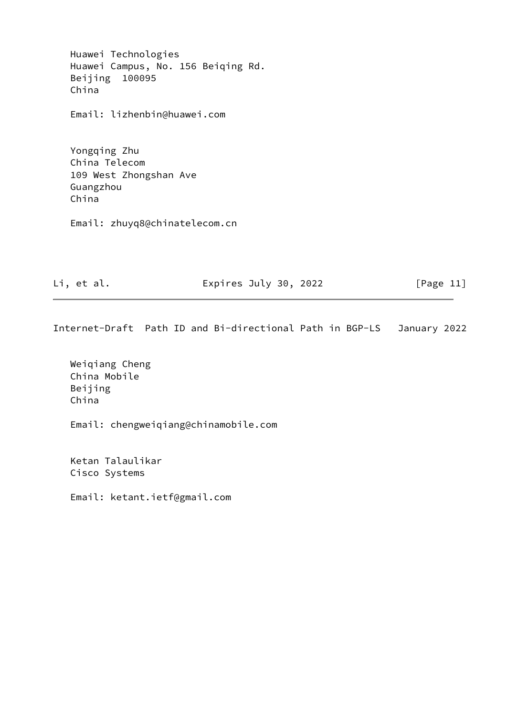Huawei Technologies Huawei Campus, No. 156 Beiqing Rd. Beijing 100095 China

Email: lizhenbin@huawei.com

 Yongqing Zhu China Telecom 109 West Zhongshan Ave Guangzhou China

Email: zhuyq8@chinatelecom.cn

Li, et al. **Expires July 30, 2022** [Page 11]

Internet-Draft Path ID and Bi-directional Path in BGP-LS January 2022

 Weiqiang Cheng China Mobile Beijing China

Email: chengweiqiang@chinamobile.com

 Ketan Talaulikar Cisco Systems

Email: ketant.ietf@gmail.com